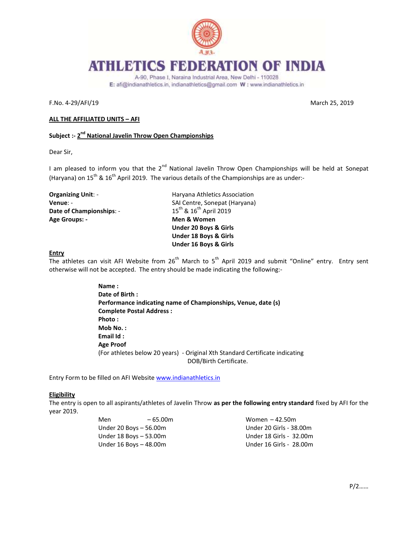

# HLETICS FEDERATION OF INDIA

A-90, Phase I, Naraina Industrial Area, New Delhi - 110028 E: afi@indianathletics.in, indianathletics@gmail.com W: www.indianathletics.in

F.No. 4-29/AFI/19 March 25, 2019

## **ALL THE AFFILIATED UNITS – AFI**

# **Subject :- 2 nd National Javelin Throw Open Championships**

Dear Sir,

I am pleased to inform you that the 2<sup>nd</sup> National Javelin Throw Open Championships will be held at Sonepat (Haryana) on  $15^{th}$  &  $16^{th}$  April 2019. The various details of the Championships are as under:-

| <b>Organizing Unit: -</b> |  |  |
|---------------------------|--|--|
| Venue: -                  |  |  |
| Date of Championships: -  |  |  |
| Age Groups: -             |  |  |

**Haryana Athletics Association SAI Centre, Sonepat (Haryana)** 15<sup>th</sup> & 16<sup>th</sup> April 2019 **Men & Women Under 20 Boys & Girls Under 18 Boys & Girls Under 16 Boys & Girls**

## **Entry**

The athletes can visit AFI Website from  $26<sup>th</sup>$  March to  $5<sup>th</sup>$  April 2019 and submit "Online" entry. Entry sent otherwise will not be accepted. The entry should be made indicating the following:-

> **Name : Date of Birth : Performance indicating name of Championships, Venue, date (s) Complete Postal Address : Photo : Mob No. : Email Id : Age Proof**  (For athletes below 20 years) - Original Xth Standard Certificate indicating DOB/Birth Certificate.

Entry Form to be filled on AFI Website [www.indianathletics.in](http://www.indianathletics.in/)

#### **Eligibility**

The entry is open to all aspirants/athletes of Javelin Throw **as per the following entry standard** fixed by AFI for the year 2019.

| Men                    | $-65.00m$              | Women $-42.50m$         |
|------------------------|------------------------|-------------------------|
|                        | Under 20 Boys - 56.00m | Under 20 Girls - 38.00m |
| Under 18 Boys - 53.00m |                        | Under 18 Girls - 32.00m |
|                        | Under 16 Boys - 48.00m | Under 16 Girls - 28.00m |